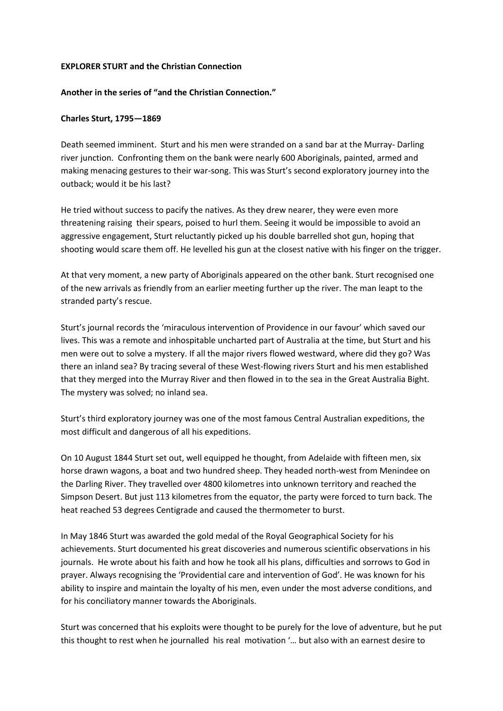## **EXPLORER STURT and the Christian Connection**

## **Another in the series of "and the Christian Connection."**

## **Charles Sturt, 1795—1869**

Death seemed imminent. Sturt and his men were stranded on a sand bar at the Murray- Darling river junction. Confronting them on the bank were nearly 600 Aboriginals, painted, armed and making menacing gestures to their war-song. This was Sturt's second exploratory journey into the outback; would it be his last?

He tried without success to pacify the natives. As they drew nearer, they were even more threatening raising their spears, poised to hurl them. Seeing it would be impossible to avoid an aggressive engagement, Sturt reluctantly picked up his double barrelled shot gun, hoping that shooting would scare them off. He levelled his gun at the closest native with his finger on the trigger.

At that very moment, a new party of Aboriginals appeared on the other bank. Sturt recognised one of the new arrivals as friendly from an earlier meeting further up the river. The man leapt to the stranded party's rescue.

Sturt's journal records the 'miraculous intervention of Providence in our favour' which saved our lives. This was a remote and inhospitable uncharted part of Australia at the time, but Sturt and his men were out to solve a mystery. If all the major rivers flowed westward, where did they go? Was there an inland sea? By tracing several of these West-flowing rivers Sturt and his men established that they merged into the Murray River and then flowed in to the sea in the Great Australia Bight. The mystery was solved; no inland sea.

Sturt's third exploratory journey was one of the most famous Central Australian expeditions, the most difficult and dangerous of all his expeditions.

On 10 August 1844 Sturt set out, well equipped he thought, from Adelaide with fifteen men, six horse drawn wagons, a boat and two hundred sheep. They headed north-west from Menindee on the Darling River. They travelled over 4800 kilometres into unknown territory and reached the Simpson Desert. But just 113 kilometres from the equator, the party were forced to turn back. The heat reached 53 degrees Centigrade and caused the thermometer to burst.

In May 1846 Sturt was awarded the gold medal of the Royal Geographical Society for his achievements. Sturt documented his great discoveries and numerous scientific observations in his journals. He wrote about his faith and how he took all his plans, difficulties and sorrows to God in prayer. Always recognising the 'Providential care and intervention of God'. He was known for his ability to inspire and maintain the loyalty of his men, even under the most adverse conditions, and for his conciliatory manner towards the Aboriginals.

Sturt was concerned that his exploits were thought to be purely for the love of adventure, but he put this thought to rest when he journalled his real motivation '… but also with an earnest desire to